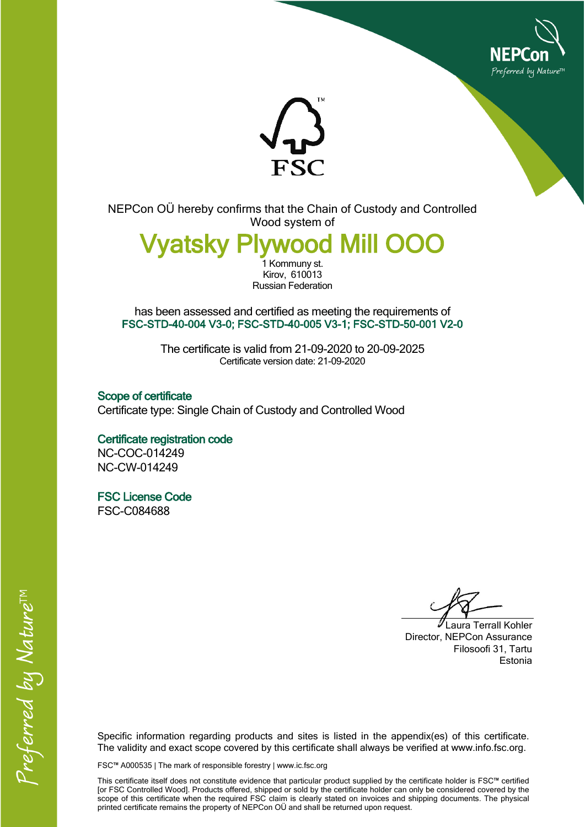



NEPCon OÜ hereby confirms that the Chain of Custody and Controlled Wood system of

**/vatskv** 1 Kommuny st.

Kirov, 610013 Russian Federation

has been assessed and certified as meeting the requirements of **FSC-STD-40-004 V3-0; FSC-STD-40-005 V3-1; FSC-STD-50-001 V2-0**

> The certificate is valid from 21-09-2020 to 20-09-2025 Certificate version date: 21-09-2020

**Scope of certificate** Certificate type: Single Chain of Custody and Controlled Wood

**Certificate registration code** NC-COC-014249 NC-CW-014249

**FSC License Code** FSC-C084688

Laura Terrall Kohler Director, NEPCon Assurance Filosoofi 31, Tartu Estonia

Specific information regarding products and sites is listed in the appendix(es) of this certificate. The validity and exact scope covered by this certificate shall always be verified at www.info.fsc.org.

FSC™ A000535 | The mark of responsible forestry | www.ic.fsc.org

This certificate itself does not constitute evidence that particular product supplied by the certificate holder is FSC™ certified [or FSC Controlled Wood]. Products offered, shipped or sold by the certificate holder can only be considered covered by the scope of this certificate when the required FSC claim is clearly stated on invoices and shipping documents. The physical printed certificate remains the property of NEPCon OÜ and shall be returned upon request.